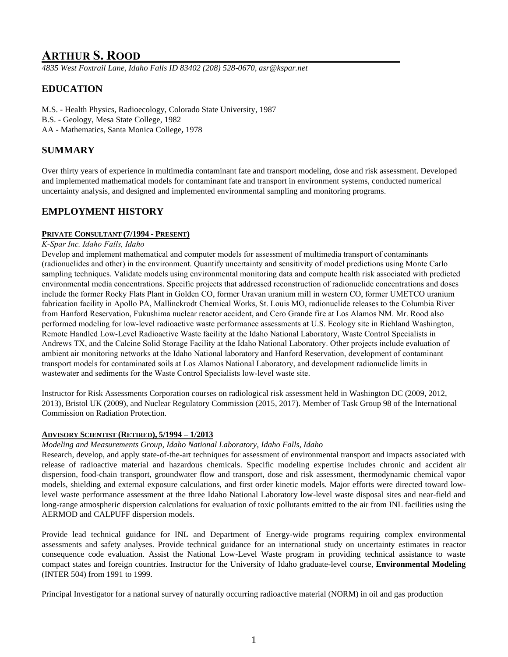# **ARTHUR S. ROOD**

*4835 West Foxtrail Lane, Idaho Falls ID 83402 (208) 528-0670, asr@kspar.net*

# **EDUCATION**

M.S. - Health Physics, Radioecology, Colorado State University, 1987 B.S. - Geology, Mesa State College, 1982 AA - Mathematics, Santa Monica College**,** 1978

# **SUMMARY**

Over thirty years of experience in multimedia contaminant fate and transport modeling, dose and risk assessment. Developed and implemented mathematical models for contaminant fate and transport in environment systems, conducted numerical uncertainty analysis, and designed and implemented environmental sampling and monitoring programs.

## **EMPLOYMENT HISTORY**

### **PRIVATE CONSULTANT (7/1994 - PRESENT)**

### *K-Spar Inc. Idaho Falls, Idaho*

Develop and implement mathematical and computer models for assessment of multimedia transport of contaminants (radionuclides and other) in the environment. Quantify uncertainty and sensitivity of model predictions using Monte Carlo sampling techniques. Validate models using environmental monitoring data and compute health risk associated with predicted environmental media concentrations. Specific projects that addressed reconstruction of radionuclide concentrations and doses include the former Rocky Flats Plant in Golden CO, former Uravan uranium mill in western CO, former UMETCO uranium fabrication facility in Apollo PA, Mallinckrodt Chemical Works, St. Louis MO, radionuclide releases to the Columbia River from Hanford Reservation, Fukushima nuclear reactor accident, and Cero Grande fire at Los Alamos NM. Mr. Rood also performed modeling for low-level radioactive waste performance assessments at U.S. Ecology site in Richland Washington, Remote Handled Low-Level Radioactive Waste facility at the Idaho National Laboratory, Waste Control Specialists in Andrews TX, and the Calcine Solid Storage Facility at the Idaho National Laboratory. Other projects include evaluation of ambient air monitoring networks at the Idaho National laboratory and Hanford Reservation, development of contaminant transport models for contaminated soils at Los Alamos National Laboratory, and development radionuclide limits in wastewater and sediments for the Waste Control Specialists low-level waste site.

Instructor for Risk Assessments Corporation courses on radiological risk assessment held in Washington DC (2009, 2012, 2013), Bristol UK (2009), and Nuclear Regulatory Commission (2015, 2017). Member of Task Group 98 of the International Commission on Radiation Protection.

### **ADVISORY SCIENTIST (RETIRED), 5/1994 – 1/2013**

### *Modeling and Measurements Group, Idaho National Laboratory, Idaho Falls, Idaho*

Research, develop, and apply state-of-the-art techniques for assessment of environmental transport and impacts associated with release of radioactive material and hazardous chemicals. Specific modeling expertise includes chronic and accident air dispersion, food-chain transport, groundwater flow and transport, dose and risk assessment, thermodynamic chemical vapor models, shielding and external exposure calculations, and first order kinetic models. Major efforts were directed toward lowlevel waste performance assessment at the three Idaho National Laboratory low-level waste disposal sites and near-field and long-range atmospheric dispersion calculations for evaluation of toxic pollutants emitted to the air from INL facilities using the AERMOD and CALPUFF dispersion models.

Provide lead technical guidance for INL and Department of Energy-wide programs requiring complex environmental assessments and safety analyses. Provide technical guidance for an international study on uncertainty estimates in reactor consequence code evaluation. Assist the National Low-Level Waste program in providing technical assistance to waste compact states and foreign countries. Instructor for the University of Idaho graduate-level course, **Environmental Modeling** (INTER 504) from 1991 to 1999.

Principal Investigator for a national survey of naturally occurring radioactive material (NORM) in oil and gas production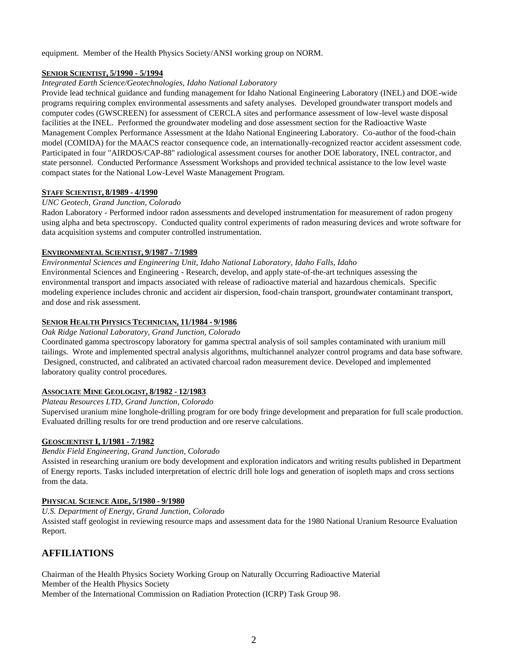equipment. Member of the Health Physics Society/ANSI working group on NORM.

### **SENIOR SCIENTIST, 5/1990 - 5/1994**

#### *Integrated Earth Science/Geotechnologies, Idaho National Laboratory*

Provide lead technical guidance and funding management for Idaho National Engineering Laboratory (INEL) and DOE-wide programs requiring complex environmental assessments and safety analyses. Developed groundwater transport models and computer codes (GWSCREEN) for assessment of CERCLA sites and performance assessment of low-level waste disposal facilities at the INEL. Performed the groundwater modeling and dose assessment section for the Radioactive Waste Management Complex Performance Assessment at the Idaho National Engineering Laboratory. Co-author of the food-chain model (COMIDA) for the MAACS reactor consequence code, an internationally-recognized reactor accident assessment code. Participated in four "AIRDOS/CAP-88" radiological assessment courses for another DOE laboratory, INEL contractor, and state personnel. Conducted Performance Assessment Workshops and provided technical assistance to the low level waste compact states for the National Low-Level Waste Management Program.

### **STAFF SCIENTIST, 8/1989 - 4/1990**

#### *UNC Geotech, Grand Junction, Colorado*

Radon Laboratory - Performed indoor radon assessments and developed instrumentation for measurement of radon progeny using alpha and beta spectroscopy. Conducted quality control experiments of radon measuring devices and wrote software for data acquisition systems and computer controlled instrumentation.

### **ENVIRONMENTAL SCIENTIST, 9/1987 - 7/1989**

*Environmental Sciences and Engineering Unit, Idaho National Laboratory, Idaho Falls, Idaho* Environmental Sciences and Engineering - Research, develop, and apply state-of-the-art techniques assessing the environmental transport and impacts associated with release of radioactive material and hazardous chemicals. Specific modeling experience includes chronic and accident air dispersion, food-chain transport, groundwater contaminant transport, and dose and risk assessment.

#### **SENIOR HEALTH PHYSICS TECHNICIAN, 11/1984 - 9/1986**

#### *Oak Ridge National Laboratory, Grand Junction, Colorado*

Coordinated gamma spectroscopy laboratory for gamma spectral analysis of soil samples contaminated with uranium mill tailings. Wrote and implemented spectral analysis algorithms, multichannel analyzer control programs and data base software. Designed, constructed, and calibrated an activated charcoal radon measurement device. Developed and implemented laboratory quality control procedures.

### **ASSOCIATE MINE GEOLOGIST, 8/1982 - 12/1983**

#### *Plateau Resources LTD, Grand Junction, Colorado*

Supervised uranium mine longhole-drilling program for ore body fringe development and preparation for full scale production. Evaluated drilling results for ore trend production and ore reserve calculations.

### **GEOSCIENTIST I, 1/1981 - 7/1982**

*Bendix Field Engineering, Grand Junction, Colorado*

Assisted in researching uranium ore body development and exploration indicators and writing results published in Department of Energy reports. Tasks included interpretation of electric drill hole logs and generation of isopleth maps and cross sections from the data.

### **PHYSICAL SCIENCE AIDE, 5/1980 - 9/1980**

*U.S. Department of Energy, Grand Junction, Colorado*

Assisted staff geologist in reviewing resource maps and assessment data for the 1980 National Uranium Resource Evaluation Report.

### **AFFILIATIONS**

Chairman of the Health Physics Society Working Group on Naturally Occurring Radioactive Material Member of the Health Physics Society

Member of the International Commission on Radiation Protection (ICRP) Task Group 98.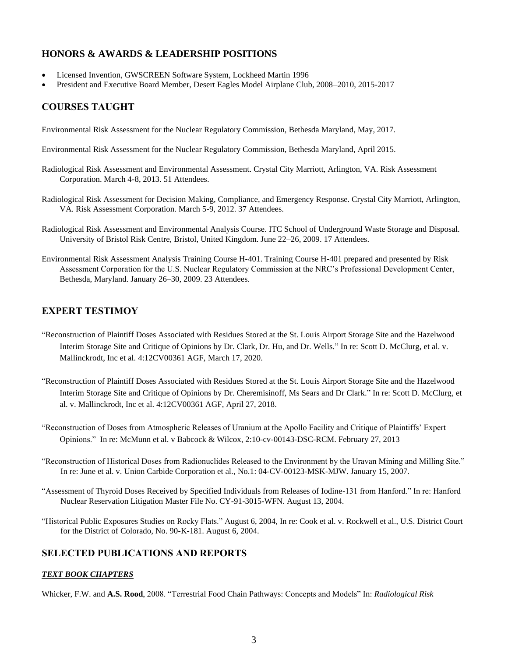## **HONORS & AWARDS & LEADERSHIP POSITIONS**

- Licensed Invention, GWSCREEN Software System, Lockheed Martin 1996
- President and Executive Board Member, Desert Eagles Model Airplane Club, 2008–2010, 2015-2017

# **COURSES TAUGHT**

Environmental Risk Assessment for the Nuclear Regulatory Commission, Bethesda Maryland, May, 2017.

Environmental Risk Assessment for the Nuclear Regulatory Commission, Bethesda Maryland, April 2015.

- Radiological Risk Assessment and Environmental Assessment. Crystal City Marriott, Arlington, VA. Risk Assessment Corporation. March 4-8, 2013. 51 Attendees.
- Radiological Risk Assessment for Decision Making, Compliance, and Emergency Response. Crystal City Marriott, Arlington, VA. Risk Assessment Corporation. March 5-9, 2012. 37 Attendees.
- Radiological Risk Assessment and Environmental Analysis Course. ITC School of Underground Waste Storage and Disposal. University of Bristol Risk Centre, Bristol, United Kingdom. June 22–26, 2009. 17 Attendees.
- Environmental Risk Assessment Analysis Training Course H-401. Training Course H-401 prepared and presented by Risk Assessment Corporation for the U.S. Nuclear Regulatory Commission at the NRC's Professional Development Center, Bethesda, Maryland. January 26–30, 2009. 23 Attendees.

## **EXPERT TESTIMOY**

- "Reconstruction of Plaintiff Doses Associated with Residues Stored at the St. Louis Airport Storage Site and the Hazelwood Interim Storage Site and Critique of Opinions by Dr. Clark, Dr. Hu, and Dr. Wells." In re: Scott D. McClurg, et al. v. Mallinckrodt, Inc et al. 4:12CV00361 AGF, March 17, 2020.
- "Reconstruction of Plaintiff Doses Associated with Residues Stored at the St. Louis Airport Storage Site and the Hazelwood Interim Storage Site and Critique of Opinions by Dr. Cheremisinoff, Ms Sears and Dr Clark." In re: Scott D. McClurg, et al. v. Mallinckrodt, Inc et al. 4:12CV00361 AGF, April 27, 2018.
- "Reconstruction of Doses from Atmospheric Releases of Uranium at the Apollo Facility and Critique of Plaintiffs' Expert Opinions." In re: McMunn et al. v Babcock & Wilcox, 2:10-cv-00143-DSC-RCM. February 27, 2013
- "Reconstruction of Historical Doses from Radionuclides Released to the Environment by the Uravan Mining and Milling Site." In re: June et al. v. Union Carbide Corporation et al., No.1: 04-CV-00123-MSK-MJW. January 15, 2007.
- "Assessment of Thyroid Doses Received by Specified Individuals from Releases of Iodine-131 from Hanford." In re: Hanford Nuclear Reservation Litigation Master File No. CY-91-3015-WFN. August 13, 2004.
- "Historical Public Exposures Studies on Rocky Flats." August 6, 2004, In re: Cook et al. v. Rockwell et al., U.S. District Court for the District of Colorado, No. 90-K-181. August 6, 2004.

# **SELECTED PUBLICATIONS AND REPORTS**

### *TEXT BOOK CHAPTERS*

Whicker, F.W. and **A.S. Rood**, 2008. "Terrestrial Food Chain Pathways: Concepts and Models" In: *Radiological Risk*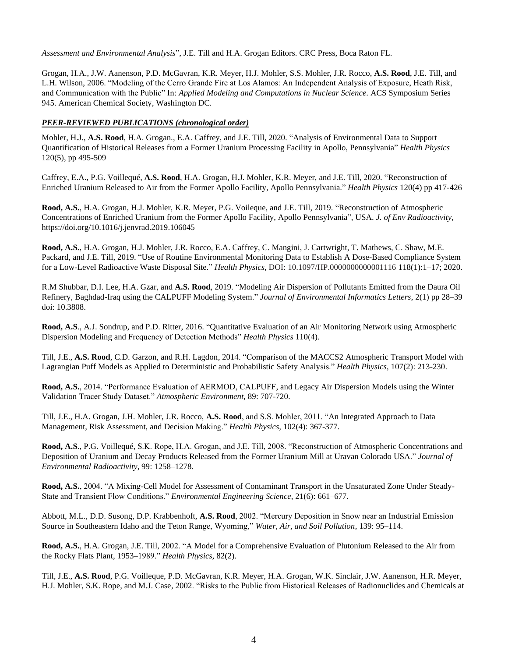*Assessment and Environmental Analysis*", J.E. Till and H.A. Grogan Editors. CRC Press, Boca Raton FL.

Grogan, H.A., J.W. Aanenson, P.D. McGavran, K.R. Meyer, H.J. Mohler, S.S. Mohler, J.R. Rocco, **A.S. Rood**, J.E. Till, and L.H. Wilson, 2006. "Modeling of the Cerro Grande Fire at Los Alamos: An Independent Analysis of Exposure, Heath Risk, and Communication with the Public" In: *Applied Modeling and Computations in Nuclear Science*. ACS Symposium Series 945. American Chemical Society, Washington DC.

### *PEER-REVIEWED PUBLICATIONS (chronological order)*

Mohler, H.J., **A.S. Rood**, H.A. Grogan., E.A. Caffrey, and J.E. Till, 2020. "Analysis of Environmental Data to Support Quantification of Historical Releases from a Former Uranium Processing Facility in Apollo, Pennsylvania" *Health Physics* 120(5), pp 495-509

Caffrey, E.A., P.G. Voillequé, **A.S. Rood**, H.A. Grogan, H.J. Mohler, K.R. Meyer, and J.E. Till, 2020. "Reconstruction of Enriched Uranium Released to Air from the Former Apollo Facility, Apollo Pennsylvania." *Health Physics* 120(4) pp 417-426

**Rood, A.S.**, H.A. Grogan, H.J. Mohler, K.R. Meyer, P.G. Voileque, and J.E. Till, 2019. "Reconstruction of Atmospheric Concentrations of Enriched Uranium from the Former Apollo Facility, Apollo Pennsylvania", USA. *J. of Env Radioactivity*, https://doi.org/10.1016/j.jenvrad.2019.106045

**Rood, A.S.**, H.A. Grogan, H.J. Mohler, J.R. Rocco, E.A. Caffrey, C. Mangini, J. Cartwright, T. Mathews, C. Shaw, M.E. Packard, and J.E. Till, 2019. "Use of Routine Environmental Monitoring Data to Establish A Dose-Based Compliance System for a Low-Level Radioactive Waste Disposal Site." *Health Physics*, DOI: 10.1097/HP.0000000000001116 118(1):1–17; 2020.

R.M Shubbar, D.I. Lee, H.A. Gzar, and **A.S. Rood**, 2019. "Modeling Air Dispersion of Pollutants Emitted from the Daura Oil Refinery, Baghdad-Iraq using the CALPUFF Modeling System." *Journal of Environmental Informatics Letters*, 2(1) pp 28–39 doi: 10.3808.

**Rood, A.S**., A.J. Sondrup, and P.D. Ritter, 2016. "Quantitative Evaluation of an Air Monitoring Network using Atmospheric Dispersion Modeling and Frequency of Detection Methods" *Health Physics* 110(4).

Till, J.E., **A.S. Rood**, C.D. Garzon, and R.H. Lagdon, 2014. "Comparison of the MACCS2 Atmospheric Transport Model with Lagrangian Puff Models as Applied to Deterministic and Probabilistic Safety Analysis." *Health Physics,* 107(2): 213-230.

**Rood, A.S.**, 2014. "Performance Evaluation of AERMOD, CALPUFF, and Legacy Air Dispersion Models using the Winter Validation Tracer Study Dataset." *Atmospheric Environment,* 89: 707-720.

Till, J.E., H.A. Grogan, J.H. Mohler, J.R. Rocco, **A.S. Rood**, and S.S. Mohler, 2011. "An Integrated Approach to Data Management, Risk Assessment, and Decision Making." *Health Physics,* 102(4): 367-377.

**Rood, A.S**., P.G. Voillequé, S.K. Rope, H.A. Grogan, and J.E. Till, 2008. "Reconstruction of Atmospheric Concentrations and Deposition of Uranium and Decay Products Released from the Former Uranium Mill at Uravan Colorado USA." *Journal of Environmental Radioactivity*, 99: 1258–1278.

**Rood, A.S.**, 2004. "A Mixing-Cell Model for Assessment of Contaminant Transport in the Unsaturated Zone Under Steady-State and Transient Flow Conditions." *Environmental Engineering Science*, 21(6): 661–677.

Abbott, M.L., D.D. Susong, D.P. Krabbenhoft, **A.S. Rood**, 2002. "Mercury Deposition in Snow near an Industrial Emission Source in Southeastern Idaho and the Teton Range, Wyoming," *Water, Air, and Soil Pollution*, 139: 95–114.

**Rood, A.S.**, H.A. Grogan, J.E. Till, 2002. "A Model for a Comprehensive Evaluation of Plutonium Released to the Air from the Rocky Flats Plant, 1953–1989." *Health Physics,* 82(2).

Till, J.E., **A.S. Rood**, P.G. Voilleque, P.D. McGavran, K.R. Meyer, H.A. Grogan, W.K. Sinclair, J.W. Aanenson, H.R. Meyer, H.J. Mohler, S.K. Rope, and M.J. Case, 2002. "Risks to the Public from Historical Releases of Radionuclides and Chemicals at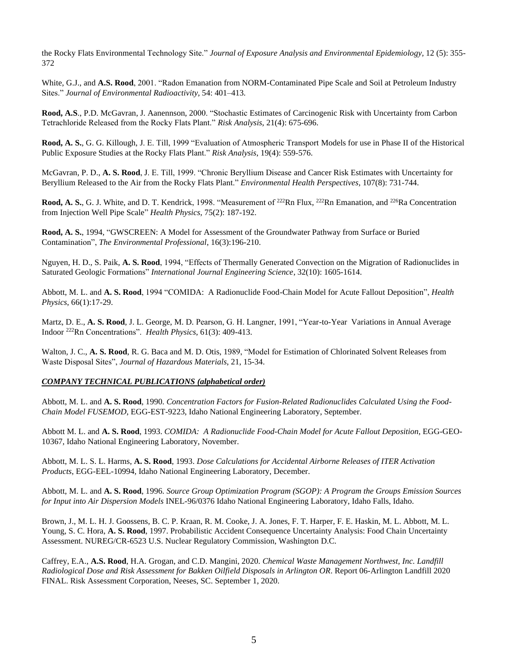the Rocky Flats Environmental Technology Site." *Journal of Exposure Analysis and Environmental Epidemiology,* 12 (5): 355- 372

White, G.J., and **A.S. Rood**, 2001. "Radon Emanation from NORM-Contaminated Pipe Scale and Soil at Petroleum Industry Sites." *Journal of Environmental Radioactivity,* 54: 401–413.

**Rood, A.S**., P.D. McGavran, J. Aanennson, 2000. "Stochastic Estimates of Carcinogenic Risk with Uncertainty from Carbon Tetrachloride Released from the Rocky Flats Plant." *Risk Analysis*, 21(4): 675-696.

**Rood, A. S.**, G. G. Killough, J. E. Till, 1999 "Evaluation of Atmospheric Transport Models for use in Phase II of the Historical Public Exposure Studies at the Rocky Flats Plant." *Risk Analysis*, 19(4): 559-576.

McGavran, P. D., **A. S. Rood**, J. E. Till, 1999. "Chronic Beryllium Disease and Cancer Risk Estimates with Uncertainty for Beryllium Released to the Air from the Rocky Flats Plant." *Environmental Health Perspectives,* 107(8): 731-744.

**Rood, A. S.,** G. J. White, and D. T. Kendrick, 1998. "Measurement of <sup>222</sup>Rn Flux, <sup>222</sup>Rn Emanation, and <sup>226</sup>Ra Concentration from Injection Well Pipe Scale" *Health Physics,* 75(2): 187-192.

**Rood, A. S.**, 1994, "GWSCREEN: A Model for Assessment of the Groundwater Pathway from Surface or Buried Contamination", *The Environmental Professional*, 16(3):196-210.

Nguyen, H. D., S. Paik, **A. S. Rood**, 1994, "Effects of Thermally Generated Convection on the Migration of Radionuclides in Saturated Geologic Formations" *International Journal Engineering Science*, 32(10): 1605-1614.

Abbott, M. L. and **A. S. Rood**, 1994 "COMIDA: A Radionuclide Food-Chain Model for Acute Fallout Deposition", *Health Physics*, 66(1):17-29.

Martz, D. E., **A. S. Rood**, J. L. George, M. D. Pearson, G. H. Langner, 1991, "Year-to-Year Variations in Annual Average Indoor <sup>222</sup>Rn Concentrations". *Health Physics*, 61(3): 409-413.

Walton, J. C., A. S. Rood, R. G. Baca and M. D. Otis, 1989, "Model for Estimation of Chlorinated Solvent Releases from Waste Disposal Sites", *Journal of Hazardous Materials*, 21, 15-34.

#### *COMPANY TECHNICAL PUBLICATIONS (alphabetical order)*

Abbott, M. L. and **A. S. Rood**, 1990. *Concentration Factors for Fusion-Related Radionuclides Calculated Using the Food-Chain Model FUSEMOD*, EGG-EST-9223, Idaho National Engineering Laboratory, September.

Abbott M. L. and **A. S. Rood**, 1993. *COMIDA: A Radionuclide Food-Chain Model for Acute Fallout Deposition*, EGG-GEO-10367, Idaho National Engineering Laboratory, November.

Abbott, M. L. S. L. Harms, **A. S. Rood**, 1993. *Dose Calculations for Accidental Airborne Releases of ITER Activation Products*, EGG-EEL-10994, Idaho National Engineering Laboratory, December.

Abbott, M. L. and **A. S. Rood**, 1996. *Source Group Optimization Program (SGOP): A Program the Groups Emission Sources for Input into Air Dispersion Models* INEL-96/0376 Idaho National Engineering Laboratory, Idaho Falls, Idaho.

Brown, J., M. L. H. J. Goossens, B. C. P. Kraan, R. M. Cooke, J. A. Jones, F. T. Harper, F. E. Haskin, M. L. Abbott, M. L. Young, S. C. Hora, **A. S. Rood**, 1997. Probabilistic Accident Consequence Uncertainty Analysis: Food Chain Uncertainty Assessment. NUREG/CR-6523 U.S. Nuclear Regulatory Commission, Washington D.C.

Caffrey, E.A., **A.S. Rood**, H.A. Grogan, and C.D. Mangini, 2020. *Chemical Waste Management Northwest, Inc. Landfill Radiological Dose and Risk Assessment for Bakken Oilfield Disposals in Arlington OR*. Report 06-Arlington Landfill 2020 FINAL. Risk Assessment Corporation, Neeses, SC. September 1, 2020.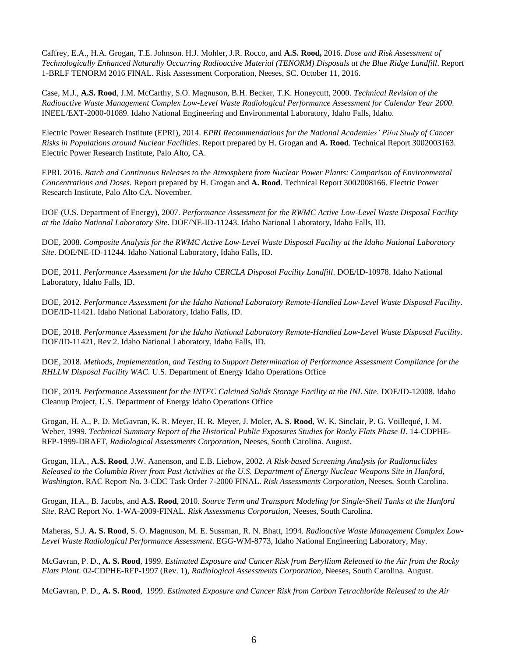Caffrey, E.A., H.A. Grogan, T.E. Johnson. H.J. Mohler, J.R. Rocco, and **A.S. Rood,** 2016. *Dose and Risk Assessment of Technologically Enhanced Naturally Occurring Radioactive Material (TENORM) Disposals at the Blue Ridge Landfill*. Report 1-BRLF TENORM 2016 FINAL. Risk Assessment Corporation, Neeses, SC. October 11, 2016.

Case, M.J., **A.S. Rood**, J.M. McCarthy, S.O. Magnuson, B.H. Becker, T.K. Honeycutt, 2000. *Technical Revision of the Radioactive Waste Management Complex Low-Level Waste Radiological Performance Assessment for Calendar Year 2000*. INEEL/EXT-2000-01089. Idaho National Engineering and Environmental Laboratory, Idaho Falls, Idaho.

Electric Power Research Institute (EPRI), 2014. *EPRI Recommendations for the National Academies' Pilot Study of Cancer Risks in Populations around Nuclear Facilities*. Report prepared by H. Grogan and **A. Rood**. Technical Report 3002003163. Electric Power Research Institute, Palo Alto, CA.

EPRI. 2016. *Batch and Continuous Releases to the Atmosphere from Nuclear Power Plants: Comparison of Environmental Concentrations and Doses.* Report prepared by H. Grogan and **A. Rood**. Technical Report 3002008166. Electric Power Research Institute, Palo Alto CA. November.

DOE (U.S. Department of Energy), 2007. *Performance Assessment for the RWMC Active Low-Level Waste Disposal Facility at the Idaho National Laboratory Site*. DOE/NE-ID-11243. Idaho National Laboratory, Idaho Falls, ID.

DOE, 2008. *Composite Analysis for the RWMC Active Low-Level Waste Disposal Facility at the Idaho National Laboratory Site*. DOE/NE-ID-11244. Idaho National Laboratory, Idaho Falls, ID.

DOE, 2011. *Performance Assessment for the Idaho CERCLA Disposal Facility Landfill*. DOE/ID-10978. Idaho National Laboratory, Idaho Falls, ID.

DOE, 2012. *Performance Assessment for the Idaho National Laboratory Remote-Handled Low-Level Waste Disposal Facility*. DOE/ID-11421. Idaho National Laboratory, Idaho Falls, ID.

DOE, 2018. *Performance Assessment for the Idaho National Laboratory Remote-Handled Low-Level Waste Disposal Facility*. DOE/ID-11421, Rev 2. Idaho National Laboratory, Idaho Falls, ID.

DOE, 2018. *Methods, Implementation, and Testing to Support Determination of Performance Assessment Compliance for the RHLLW Disposal Facility WAC*. U.S. Department of Energy Idaho Operations Office

DOE, 2019. *Performance Assessment for the INTEC Calcined Solids Storage Facility at the INL Site*. DOE/ID-12008. Idaho Cleanup Project, U.S. Department of Energy Idaho Operations Office

Grogan, H. A., P. D. McGavran, K. R. Meyer, H. R. Meyer, J. Moler, **A. S. Rood**, W. K. Sinclair, P. G. Voillequé, J. M. Weber, 1999. *Technical Summary Report of the Historical Public Exposures Studies for Rocky Flats Phase II*. 14-CDPHE-RFP-1999-DRAFT, *Radiological Assessments Corporation*, Neeses, South Carolina. August.

Grogan, H.A., **A.S. Rood**, J.W. Aanenson, and E.B. Liebow, 2002. *A Risk-based Screening Analysis for Radionuclides Released to the Columbia River from Past Activities at the U.S. Department of Energy Nuclear Weapons Site in Hanford, Washington*. RAC Report No. 3-CDC Task Order 7-2000 FINAL. *Risk Assessments Corporation,* Neeses, South Carolina.

Grogan, H.A., B. Jacobs, and **A.S. Rood**, 2010. *Source Term and Transport Modeling for Single-Shell Tanks at the Hanford Site*. RAC Report No. 1-WA-2009-FINAL. *Risk Assessments Corporation,* Neeses, South Carolina.

Maheras, S.J. **A. S. Rood**, S. O. Magnuson, M. E. Sussman, R. N. Bhatt, 1994. *Radioactive Waste Management Complex Low-Level Waste Radiological Performance Assessment*. EGG-WM-8773, Idaho National Engineering Laboratory, May.

McGavran, P. D., **A. S. Rood**, 1999. *Estimated Exposure and Cancer Risk from Beryllium Released to the Air from the Rocky Flats Plant*. 02-CDPHE-RFP-1997 (Rev. 1), *Radiological Assessments Corporation*, Neeses, South Carolina. August.

McGavran, P. D., **A. S. Rood**, 1999. *Estimated Exposure and Cancer Risk from Carbon Tetrachloride Released to the Air*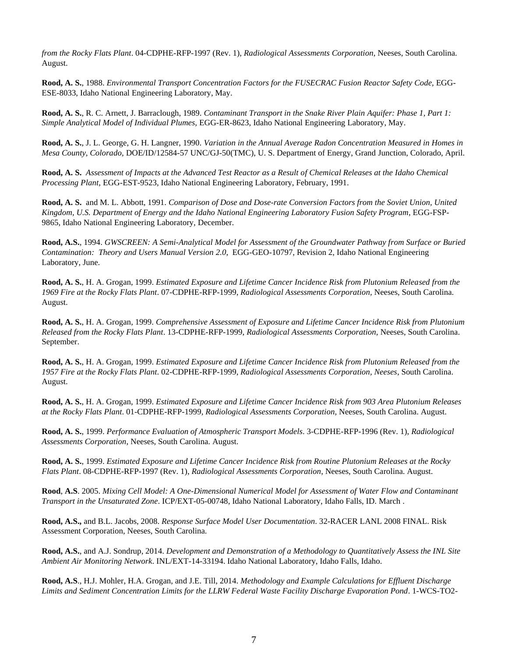*from the Rocky Flats Plant*. 04-CDPHE-RFP-1997 (Rev. 1), *Radiological Assessments Corporation*, Neeses, South Carolina. August.

**Rood, A. S.**, 1988. *Environmental Transport Concentration Factors for the FUSECRAC Fusion Reactor Safety Code,* EGG-ESE-8033, Idaho National Engineering Laboratory, May.

**Rood, A. S.**, R. C. Arnett, J. Barraclough, 1989. *Contaminant Transport in the Snake River Plain Aquifer: Phase 1, Part 1: Simple Analytical Model of Individual Plumes,* EGG-ER-8623, Idaho National Engineering Laboratory, May.

**Rood, A. S.**, J. L. George, G. H. Langner, 1990. *Variation in the Annual Average Radon Concentration Measured in Homes in Mesa County, Colorado,* DOE/ID/12584-57 UNC/GJ-50(TMC), U. S. Department of Energy, Grand Junction, Colorado, April.

**Rood, A. S.** *Assessment of Impacts at the Advanced Test Reactor as a Result of Chemical Releases at the Idaho Chemical Processing Plant*, EGG-EST-9523, Idaho National Engineering Laboratory, February, 1991.

**Rood, A. S.** and M. L. Abbott, 1991. *Comparison of Dose and Dose-rate Conversion Factors from the Soviet Union, United Kingdom, U.S. Department of Energy and the Idaho National Engineering Laboratory Fusion Safety Program*, EGG-FSP-9865, Idaho National Engineering Laboratory, December.

**Rood, A.S.**, 1994. *GWSCREEN: A Semi-Analytical Model for Assessment of the Groundwater Pathway from Surface or Buried Contamination: Theory and Users Manual Version 2.0*, EGG-GEO-10797, Revision 2, Idaho National Engineering Laboratory, June.

**Rood, A. S.**, H. A. Grogan, 1999. *Estimated Exposure and Lifetime Cancer Incidence Risk from Plutonium Released from the 1969 Fire at the Rocky Flats Plant*. 07-CDPHE-RFP-1999, *Radiological Assessments Corporation,* Neeses, South Carolina. August.

**Rood, A. S.**, H. A. Grogan, 1999. *Comprehensive Assessment of Exposure and Lifetime Cancer Incidence Risk from Plutonium Released from the Rocky Flats Plant*. 13-CDPHE-RFP-1999, *Radiological Assessments Corporation,* Neeses, South Carolina. September.

**Rood, A. S.**, H. A. Grogan, 1999. *Estimated Exposure and Lifetime Cancer Incidence Risk from Plutonium Released from the 1957 Fire at the Rocky Flats Plant*. 02-CDPHE-RFP-1999, *Radiological Assessments Corporation, Neeses*, South Carolina. August.

**Rood, A. S.**, H. A. Grogan, 1999. *Estimated Exposure and Lifetime Cancer Incidence Risk from 903 Area Plutonium Releases at the Rocky Flats Plant*. 01-CDPHE-RFP-1999, *Radiological Assessments Corporation,* Neeses, South Carolina. August.

**Rood, A. S.**, 1999. *Performance Evaluation of Atmospheric Transport Models*. 3-CDPHE-RFP-1996 (Rev. 1), *Radiological Assessments Corporation*, Neeses, South Carolina. August.

**Rood, A. S.**, 1999. *Estimated Exposure and Lifetime Cancer Incidence Risk from Routine Plutonium Releases at the Rocky Flats Plant*. 08-CDPHE-RFP-1997 (Rev. 1), *Radiological Assessments Corporation*, Neeses, South Carolina. August.

**Rood**, **A.S**. 2005. *Mixing Cell Model: A One-Dimensional Numerical Model for Assessment of Water Flow and Contaminant Transport in the Unsaturated Zone*. ICP/EXT-05-00748, Idaho National Laboratory, Idaho Falls, ID. March .

**Rood, A.S.,** and B.L. Jacobs, 2008. *Response Surface Model User Documentation*. 32-RACER LANL 2008 FINAL. Risk Assessment Corporation, Neeses, South Carolina.

**Rood, A.S.**, and A.J. Sondrup, 2014. *Development and Demonstration of a Methodology to Quantitatively Assess the INL Site Ambient Air Monitoring Network*. INL/EXT-14-33194. Idaho National Laboratory, Idaho Falls, Idaho.

**Rood, A.S**., H.J. Mohler, H.A. Grogan, and J.E. Till, 2014. *Methodology and Example Calculations for Effluent Discharge Limits and Sediment Concentration Limits for the LLRW Federal Waste Facility Discharge Evaporation Pond*. 1-WCS-TO2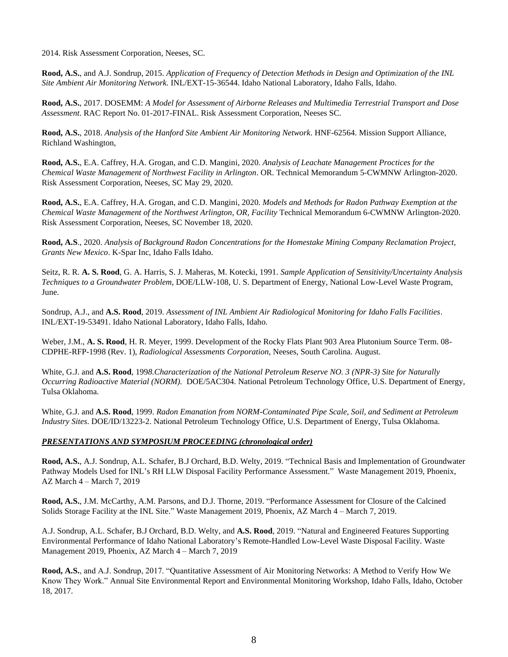2014. Risk Assessment Corporation, Neeses, SC.

**Rood, A.S.**, and A.J. Sondrup, 2015. *Application of Frequency of Detection Methods in Design and Optimization of the INL Site Ambient Air Monitoring Network.* INL/EXT-15-36544. Idaho National Laboratory, Idaho Falls, Idaho.

**Rood, A.S.**, 2017. DOSEMM: *A Model for Assessment of Airborne Releases and Multimedia Terrestrial Transport and Dose Assessment*. RAC Report No. 01-2017-FINAL. Risk Assessment Corporation, Neeses SC.

**Rood, A.S.**, 2018. *Analysis of the Hanford Site Ambient Air Monitoring Network*. HNF-62564. Mission Support Alliance, Richland Washington,

**Rood, A.S.**, E.A. Caffrey, H.A. Grogan, and C.D. Mangini, 2020. *Analysis of Leachate Management Proctices for the Chemical Waste Management of Northwest Facility in Arlington*. OR. Technical Memorandum 5-CWMNW Arlington-2020. Risk Assessment Corporation, Neeses, SC May 29, 2020.

**Rood, A.S.**, E.A. Caffrey, H.A. Grogan, and C.D. Mangini, 2020. *Models and Methods for Radon Pathway Exemption at the Chemical Waste Management of the Northwest Arlington, OR, Facility* Technical Memorandum 6-CWMNW Arlington-2020. Risk Assessment Corporation, Neeses, SC November 18, 2020.

**Rood, A.S**., 2020. *Analysis of Background Radon Concentrations for the Homestake Mining Company Reclamation Project, Grants New Mexico*. K-Spar Inc, Idaho Falls Idaho.

Seitz, R. R. **A. S. Rood**, G. A. Harris, S. J. Maheras, M. Kotecki, 1991. *Sample Application of Sensitivity/Uncertainty Analysis Techniques to a Groundwater Problem,* DOE/LLW-108, U. S. Department of Energy, National Low-Level Waste Program, June.

Sondrup, A.J., and **A.S. Rood**, 2019. *Assessment of INL Ambient Air Radiological Monitoring for Idaho Falls Facilities*. INL/EXT-19-53491. Idaho National Laboratory, Idaho Falls, Idaho.

Weber, J.M., **A. S. Rood**, H. R. Meyer, 1999. Development of the Rocky Flats Plant 903 Area Plutonium Source Term. 08- CDPHE-RFP-1998 (Rev. 1), *Radiological Assessments Corporation*, Neeses, South Carolina. August.

White, G.J. and **A.S. Rood**, 199*8.Characterization of the National Petroleum Reserve NO. 3 (NPR-3) Site for Naturally Occurring Radioactive Material (NORM).* DOE/5AC304. National Petroleum Technology Office, U.S. Department of Energy, Tulsa Oklahoma.

White, G.J. and **A.S. Rood**, 1999. *Radon Emanation from NORM-Contaminated Pipe Scale, Soil, and Sediment at Petroleum Industry Sites*. DOE/ID/13223-2. National Petroleum Technology Office, U.S. Department of Energy, Tulsa Oklahoma.

### *PRESENTATIONS AND SYMPOSIUM PROCEEDING (chronological order)*

**Rood, A.S.**, A.J. Sondrup, A.L. Schafer, B.J Orchard, B.D. Welty, 2019. "Technical Basis and Implementation of Groundwater Pathway Models Used for INL's RH LLW Disposal Facility Performance Assessment." Waste Management 2019, Phoenix, AZ March 4 – March 7, 2019

**Rood, A.S.**, J.M. McCarthy, A.M. Parsons, and D.J. Thorne, 2019. "Performance Assessment for Closure of the Calcined Solids Storage Facility at the INL Site." Waste Management 2019, Phoenix, AZ March 4 – March 7, 2019.

A.J. Sondrup, A.L. Schafer, B.J Orchard, B.D. Welty, and **A.S. Rood**, 2019. "Natural and Engineered Features Supporting Environmental Performance of Idaho National Laboratory's Remote-Handled Low-Level Waste Disposal Facility. Waste Management 2019, Phoenix, AZ March 4 – March 7, 2019

**Rood, A.S.**, and A.J. Sondrup, 2017. "Quantitative Assessment of Air Monitoring Networks: A Method to Verify How We Know They Work." Annual Site Environmental Report and Environmental Monitoring Workshop, Idaho Falls, Idaho, October 18, 2017.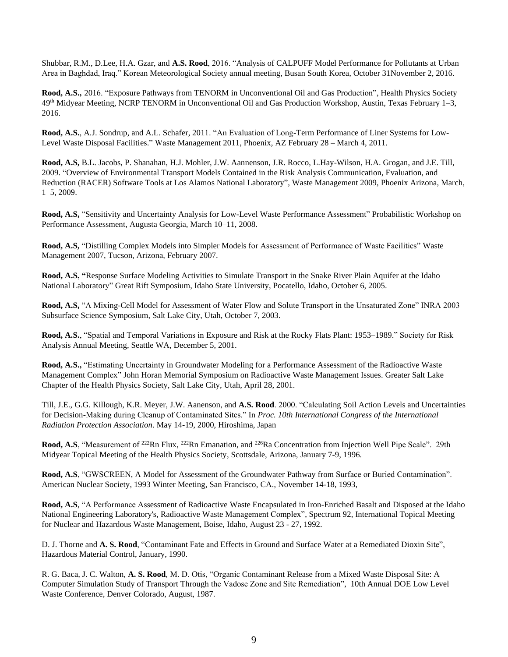Shubbar, R.M., D.Lee, H.A. Gzar, and **A.S. Rood**, 2016. "Analysis of CALPUFF Model Performance for Pollutants at Urban Area in Baghdad, Iraq." Korean Meteorological Society annual meeting, Busan South Korea, October 31November 2, 2016.

**Rood, A.S.,** 2016. "Exposure Pathways from TENORM in Unconventional Oil and Gas Production", Health Physics Society 49th Midyear Meeting, NCRP TENORM in Unconventional Oil and Gas Production Workshop, Austin, Texas February 1–3, 2016.

**Rood, A.S.**, A.J. Sondrup, and A.L. Schafer, 2011. "An Evaluation of Long-Term Performance of Liner Systems for Low-Level Waste Disposal Facilities." Waste Management 2011, Phoenix, AZ February 28 – March 4, 2011.

**Rood, A.S,** B.L. Jacobs, P. Shanahan, H.J. Mohler, J.W. Aannenson, J.R. Rocco, L.Hay-Wilson, H.A. Grogan, and J.E. Till, 2009. "Overview of Environmental Transport Models Contained in the Risk Analysis Communication, Evaluation, and Reduction (RACER) Software Tools at Los Alamos National Laboratory", Waste Management 2009, Phoenix Arizona, March, 1–5, 2009.

**Rood, A.S,** "Sensitivity and Uncertainty Analysis for Low-Level Waste Performance Assessment" Probabilistic Workshop on Performance Assessment, Augusta Georgia, March 10–11, 2008.

**Rood, A.S,** "Distilling Complex Models into Simpler Models for Assessment of Performance of Waste Facilities" Waste Management 2007, Tucson, Arizona, February 2007.

**Rood, A.S, "**Response Surface Modeling Activities to Simulate Transport in the Snake River Plain Aquifer at the Idaho National Laboratory" Great Rift Symposium, Idaho State University, Pocatello, Idaho, October 6, 2005.

**Rood, A.S,** "A Mixing-Cell Model for Assessment of Water Flow and Solute Transport in the Unsaturated Zone" INRA 2003 Subsurface Science Symposium, Salt Lake City, Utah, October 7, 2003.

**Rood, A.S.**, "Spatial and Temporal Variations in Exposure and Risk at the Rocky Flats Plant: 1953–1989." Society for Risk Analysis Annual Meeting, Seattle WA, December 5, 2001.

**Rood, A.S.,** "Estimating Uncertainty in Groundwater Modeling for a Performance Assessment of the Radioactive Waste Management Complex" John Horan Memorial Symposium on Radioactive Waste Management Issues. Greater Salt Lake Chapter of the Health Physics Society, Salt Lake City, Utah, April 28, 2001.

Till, J.E., G.G. Killough, K.R. Meyer, J.W. Aanenson, and **A.S. Rood**. 2000. "Calculating Soil Action Levels and Uncertainties for Decision-Making during Cleanup of Contaminated Sites." In *Proc. 10th International Congress of the International Radiation Protection Association*. May 14-19, 2000, Hiroshima, Japan

**Rood, A.S.** "Measurement of <sup>222</sup>Rn Flux, <sup>222</sup>Rn Emanation, and <sup>226</sup>Ra Concentration from Injection Well Pipe Scale". 29th Midyear Topical Meeting of the Health Physics Society, Scottsdale, Arizona, January 7-9, 1996.

**Rood, A.S**, "GWSCREEN, A Model for Assessment of the Groundwater Pathway from Surface or Buried Contamination". American Nuclear Society, 1993 Winter Meeting, San Francisco, CA., November 14-18, 1993,

**Rood, A.S**, "A Performance Assessment of Radioactive Waste Encapsulated in Iron-Enriched Basalt and Disposed at the Idaho National Engineering Laboratory's, Radioactive Waste Management Complex", Spectrum 92, International Topical Meeting for Nuclear and Hazardous Waste Management, Boise, Idaho, August 23 - 27, 1992.

D. J. Thorne and **A. S. Rood**, "Contaminant Fate and Effects in Ground and Surface Water at a Remediated Dioxin Site", Hazardous Material Control, January, 1990.

R. G. Baca, J. C. Walton, **A. S. Rood**, M. D. Otis, "Organic Contaminant Release from a Mixed Waste Disposal Site: A Computer Simulation Study of Transport Through the Vadose Zone and Site Remediation", 10th Annual DOE Low Level Waste Conference, Denver Colorado, August, 1987.